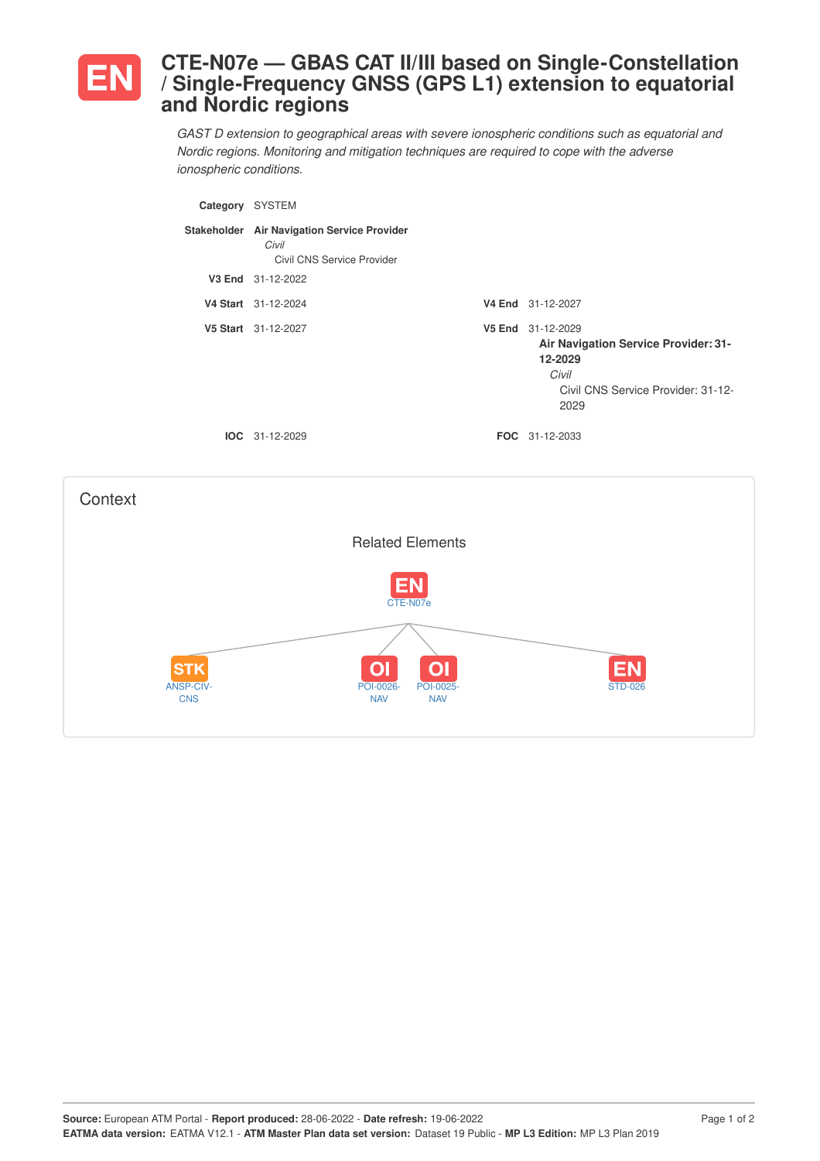

**Context** 

## **CTE-N07e — GBAS CAT II/III based on Single-Constellation / Single-Frequency GNSS (GPS L1) extension to equatorial and Nordic regions**

*GAST D extension to geographical areas with severe ionospheric conditions such as equatorial and Nordic regions. Monitoring and mitigation techniques are required to cope with the adverse ionospheric conditions.*

| Category SYSTEM |                                                                                    |                                                                                                                                    |
|-----------------|------------------------------------------------------------------------------------|------------------------------------------------------------------------------------------------------------------------------------|
|                 | Stakeholder Air Navigation Service Provider<br>Civil<br>Civil CNS Service Provider |                                                                                                                                    |
|                 | V3 End 31-12-2022                                                                  |                                                                                                                                    |
|                 | V4 Start 31-12-2024                                                                | V4 End 31-12-2027                                                                                                                  |
|                 | V5 Start 31-12-2027                                                                | V5 End 31-12-2029<br><b>Air Navigation Service Provider: 31-</b><br>12-2029<br>Civil<br>Civil CNS Service Provider: 31-12-<br>2029 |
|                 | IOC 31-12-2029                                                                     | FOC 31-12-2033                                                                                                                     |
|                 |                                                                                    |                                                                                                                                    |